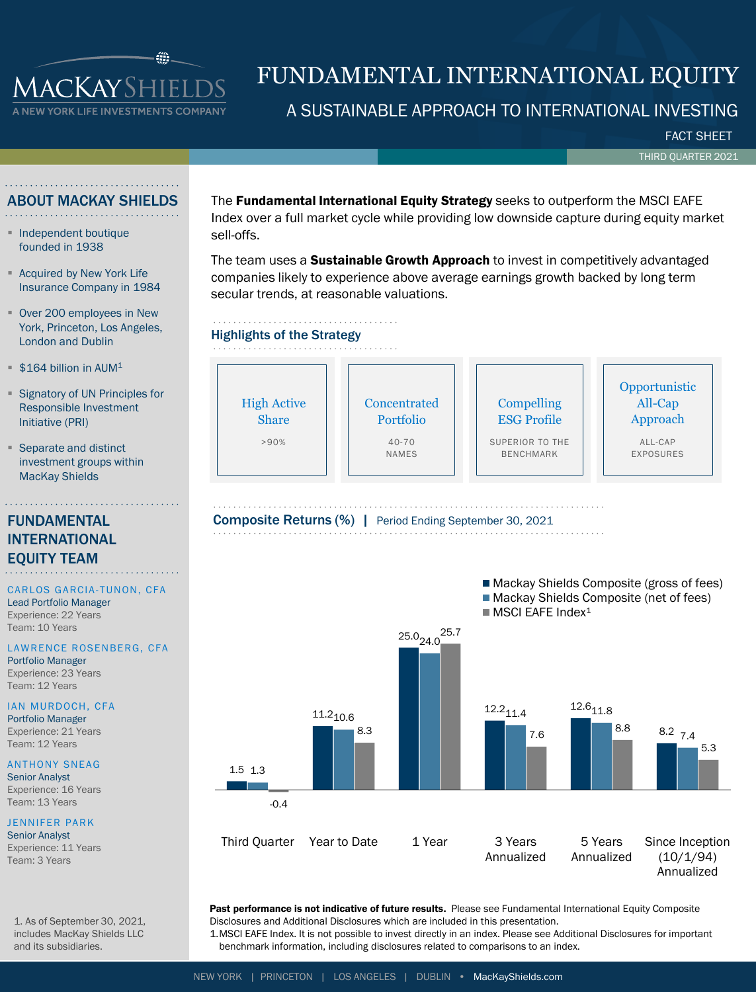

# FUNDAMENTAL INTERNATIONAL EQUITY

# A SUSTAINABLE APPROACH TO INTERNATIONAL INVESTING

FACT SHEET

THIRD QUARTER 2021

## ABOUT MACKAY SHIELDS

- Independent boutique founded in 1938
- Acquired by New York Life Insurance Company in 1984
- Over 200 employees in New York, Princeton, Los Angeles, London and Dublin
- $$164$  billion in AUM<sup>1</sup>
- Signatory of UN Principles for Responsible Investment Initiative (PRI)
- Separate and distinct investment groups within MacKay Shields

# FUNDAMENTAL INTERNATIONAL EQUITY TEAM

## CARLOS GARCIA-TUNON, CFA

Lead Portfolio Manager Experience: 22 Years Team: 10 Years

## LAWRENCE ROSENBERG, CFA

Portfolio Manager Experience: 23 Years Team: 12 Years

### IAN MURDOCH, CFA Portfolio Manager

Experience: 21 Years Team: 12 Years

# **ANTHONY SNEAG**

Senior Analyst Experience: 16 Years Team: 13 Years

## JENNIFER PARK

Senior Analyst Experience: 11 Years Team: 3 Years

The Fundamental International Equity Strategy seeks to outperform the MSCI EAFE Index over a full market cycle while providing low downside capture during equity market sell-offs.

The team uses a Sustainable Growth Approach to invest in competitively advantaged companies likely to experience above average earnings growth backed by long term secular trends, at reasonable valuations.





Past performance is not indicative of future results. Please see Fundamental International Equity Composite Disclosures and Additional Disclosures which are included in this presentation.

1.MSCI EAFE Index. It is not possible to invest directly in an index. Please see Additional Disclosures for important benchmark information, including disclosures related to comparisons to an index.

1. As of September 30, 2021, includes MacKay Shields LLC and its subsidiaries.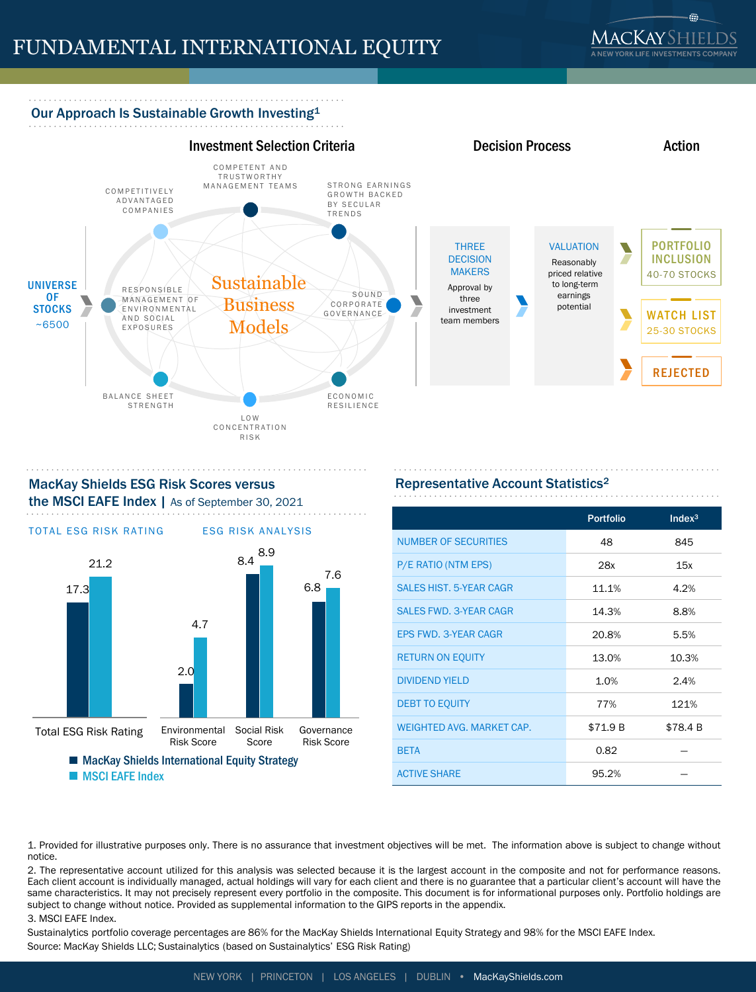

# Our Approach Is Sustainable Growth Investing<sup>1</sup>





# MacKay Shields ESG Risk Scores versus the MSCI EAFE Index | As of September 30, 2021



# Representative Account Statistics<sup>2</sup>

|                                  | <b>Portfolio</b> | Index <sup>3</sup> |
|----------------------------------|------------------|--------------------|
| <b>NUMBER OF SECURITIES</b>      | 48               | 845                |
| P/E RATIO (NTM EPS)              | 28x              | 15x                |
| <b>SALES HIST, 5-YEAR CAGR</b>   | 11.1%            | 4.2%               |
| <b>SALES FWD. 3-YEAR CAGR</b>    | 14.3%            | 8.8%               |
| <b>EPS FWD. 3-YEAR CAGR</b>      | 20.8%            | 5.5%               |
| <b>RETURN ON EQUITY</b>          | 13.0%            | 10.3%              |
| <b>DIVIDEND YIELD</b>            | 1.0%             | 2.4%               |
| <b>DEBT TO EQUITY</b>            | 77%              | 121%               |
| <b>WEIGHTED AVG. MARKET CAP.</b> | \$71.9 B         | \$78.4 B           |
| <b>BETA</b>                      | 0.82             |                    |
| <b>ACTIVE SHARE</b>              | 95.2%            |                    |

1. Provided for illustrative purposes only. There is no assurance that investment objectives will be met. The information above is subject to change without notice.

2. The representative account utilized for this analysis was selected because it is the largest account in the composite and not for performance reasons. Each client account is individually managed, actual holdings will vary for each client and there is no guarantee that a particular client's account will have the same characteristics. It may not precisely represent every portfolio in the composite. This document is for informational purposes only. Portfolio holdings are subject to change without notice. Provided as supplemental information to the GIPS reports in the appendix.

#### 3. MSCI EAFE Index.

Sustainalytics portfolio coverage percentages are 86% for the MacKay Shields International Equity Strategy and 98% for the MSCI EAFE Index. Source: MacKay Shields LLC; Sustainalytics (based on Sustainalytics' ESG Risk Rating)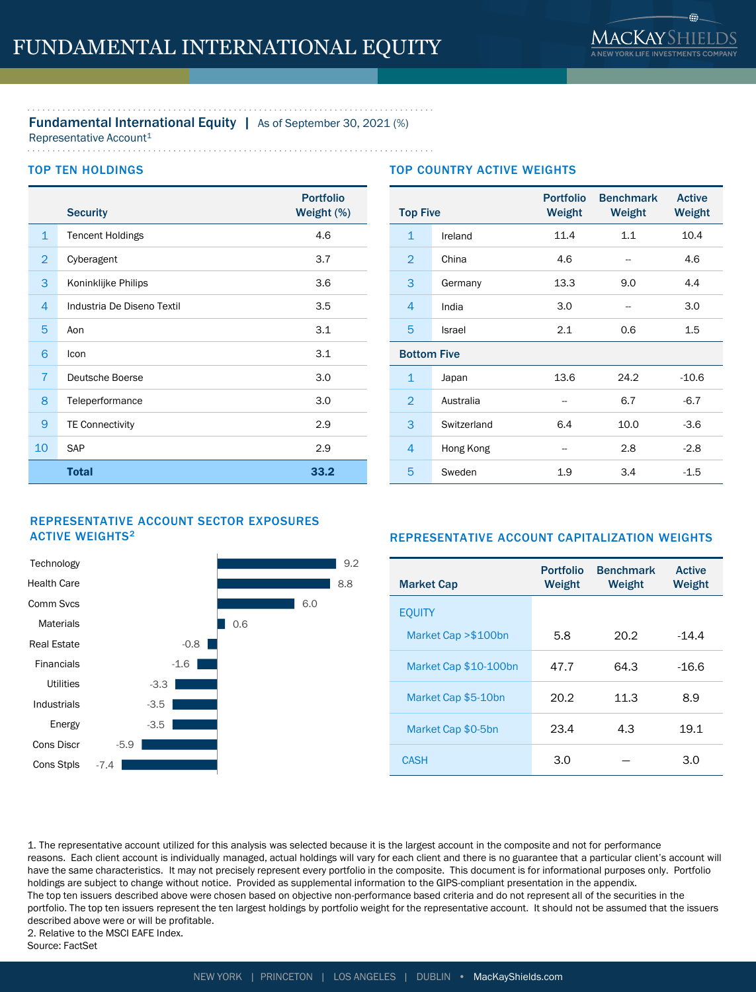# Fundamental International Equity | As of September 30, 2021 (%)

Representative Account<sup>1</sup>

## TOP TEN HOLDINGS

|                | <b>Security</b>            | <b>Portfolio</b><br>Weight (%) |
|----------------|----------------------------|--------------------------------|
| $\mathbf{1}$   | <b>Tencent Holdings</b>    | 4.6                            |
| $\overline{2}$ | Cyberagent                 | 3.7                            |
| 3              | Koninklijke Philips        | 3.6                            |
| 4              | Industria De Diseno Textil | 3.5                            |
| 5              | Aon                        | 3.1                            |
| 6              | Icon                       | 3.1                            |
| $\overline{7}$ | <b>Deutsche Boerse</b>     | 3.0                            |
| 8              | Teleperformance            | 3.0                            |
| 9              | <b>TE Connectivity</b>     | 2.9                            |
| 10             | SAP                        | 2.9                            |
|                | <b>Total</b>               | 33.2                           |

## TOP COUNTRY ACTIVE WEIGHTS

| <b>Top Five</b>    |             | <b>Portfolio</b><br>Weight | <b>Benchmark</b><br>Weight | <b>Active</b><br>Weight |  |
|--------------------|-------------|----------------------------|----------------------------|-------------------------|--|
| $\mathbf{1}$       | Ireland     | 11.4                       | 1.1                        | 10.4                    |  |
| $\overline{2}$     | China       | 4.6                        |                            | 4.6                     |  |
| 3                  | Germany     | 13.3                       | 9.0                        | 4.4                     |  |
| 4                  | India       | 3.0                        | --                         | 3.0                     |  |
| 5                  | Israel      | 2.1                        | 0.6                        | 1.5                     |  |
| <b>Bottom Five</b> |             |                            |                            |                         |  |
| $\mathbf{1}$       | Japan       | 13.6                       | 24.2                       | $-10.6$                 |  |
| $\overline{2}$     | Australia   |                            | 6.7                        | $-6.7$                  |  |
| 3                  | Switzerland | 6.4                        | 10.0                       | $-3.6$                  |  |
| 4                  | Hong Kong   |                            | 2.8                        | $-2.8$                  |  |
| 5                  | Sweden      | 1.9                        | 3.4                        | $-1.5$                  |  |

## REPRESENTATIVE ACCOUNT SECTOR EXPOSURES **ACTIVE WEIGHTS<sup>2</sup>**



## REPRESENTATIVE ACCOUNT CAPITALIZATION WEIGHTS

| <b>Market Cap</b>     | <b>Portfolio</b><br>Weight | <b>Benchmark</b><br>Weight | <b>Active</b><br>Weight |
|-----------------------|----------------------------|----------------------------|-------------------------|
| <b>EOUITY</b>         |                            |                            |                         |
| Market Cap > \$100bn  | 5.8                        | 20.2                       | $-14.4$                 |
| Market Cap \$10-100bn | 47.7                       | 64.3                       | $-16.6$                 |
| Market Cap \$5-10bn   | 20.2                       | 11.3                       | 8.9                     |
| Market Cap \$0-5bn    | 23.4                       | 4.3                        | 19.1                    |
| <b>CASH</b>           | 3.0                        |                            | 3.0                     |

1. The representative account utilized for this analysis was selected because it is the largest account in the composite and not for performance reasons. Each client account is individually managed, actual holdings will vary for each client and there is no guarantee that a particular client's account will have the same characteristics. It may not precisely represent every portfolio in the composite. This document is for informational purposes only. Portfolio holdings are subject to change without notice. Provided as supplemental information to the GIPS-compliant presentation in the appendix. The top ten issuers described above were chosen based on objective non-performance based criteria and do not represent all of the securities in the portfolio. The top ten issuers represent the ten largest holdings by portfolio weight for the representative account. It should not be assumed that the issuers described above were or will be profitable. 2. Relative to the MSCI EAFE Index. Source: FactSet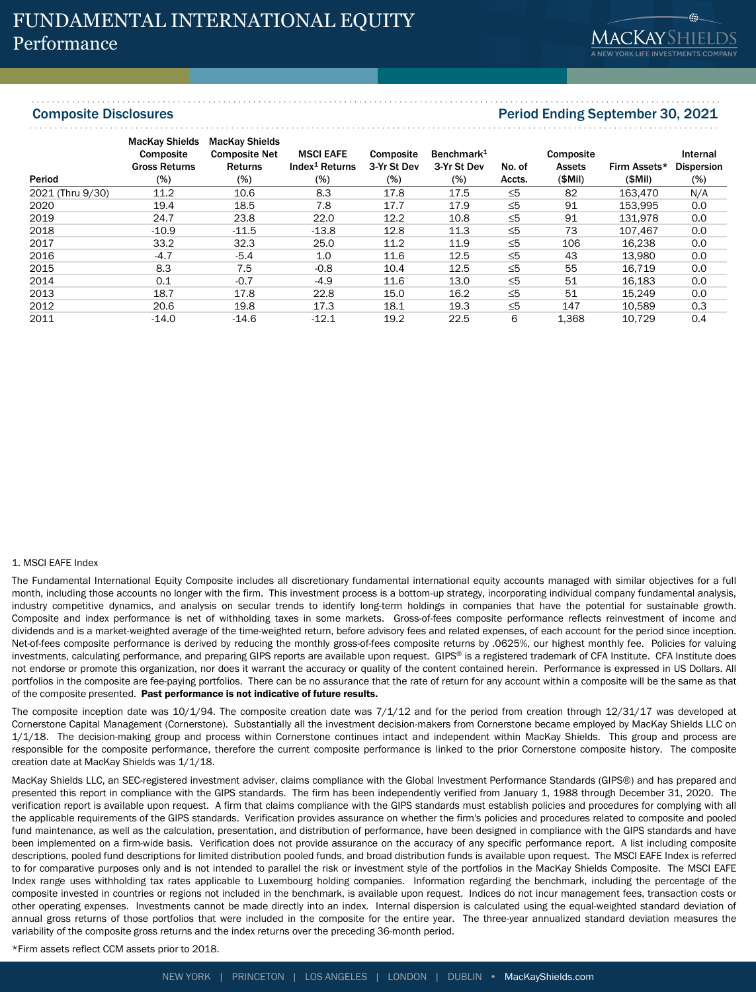# Composite Disclosures Period Ending September 30, 2021

| Period           | <b>MacKay Shields</b><br><b>Composite</b><br><b>Gross Returns</b><br>$(\%)$ | <b>MacKay Shields</b><br><b>Composite Net</b><br><b>Returns</b><br>$(\%)$ | <b>MSCI EAFE</b><br>Index <sup>1</sup> Returns<br>$(\%)$ | Composite<br>3-Yr St Dev<br>$(\%)$ | Benchmark <sup>1</sup><br>3-Yr St Dev<br>$(\%)$ | No. of<br>Accts. | Composite<br>Assets<br>(SMil) | Firm Assets*<br>(SMil) | Internal<br><b>Dispersion</b><br>$(\%)$ |
|------------------|-----------------------------------------------------------------------------|---------------------------------------------------------------------------|----------------------------------------------------------|------------------------------------|-------------------------------------------------|------------------|-------------------------------|------------------------|-----------------------------------------|
| 2021 (Thru 9/30) | 11.2                                                                        | 10.6                                                                      | 8.3                                                      | 17.8                               | 17.5                                            | $\leq 5$         | 82                            | 163.470                | N/A                                     |
| 2020             | 19.4                                                                        | 18.5                                                                      | 7.8                                                      | 17.7                               | 17.9                                            | $\leq 5$         | 91                            | 153.995                | 0.0                                     |
| 2019             | 24.7                                                                        | 23.8                                                                      | 22.0                                                     | 12.2                               | 10.8                                            | $\leq 5$         | 91                            | 131.978                | 0.0                                     |
| 2018             | $-10.9$                                                                     | $-11.5$                                                                   | $-13.8$                                                  | 12.8                               | 11.3                                            | $\leq 5$         | 73                            | 107.467                | 0.0                                     |
| 2017             | 33.2                                                                        | 32.3                                                                      | 25.0                                                     | 11.2                               | 11.9                                            | $\leq 5$         | 106                           | 16,238                 | 0.0                                     |
| 2016             | $-4.7$                                                                      | $-5.4$                                                                    | 1.0                                                      | 11.6                               | 12.5                                            | $\leq 5$         | 43                            | 13.980                 | 0.0                                     |
| 2015             | 8.3                                                                         | 7.5                                                                       | $-0.8$                                                   | 10.4                               | 12.5                                            | $\leq 5$         | 55                            | 16.719                 | 0.0                                     |
| 2014             | 0.1                                                                         | $-0.7$                                                                    | $-4.9$                                                   | 11.6                               | 13.0                                            | $\leq 5$         | 51                            | 16,183                 | 0.0                                     |
| 2013             | 18.7                                                                        | 17.8                                                                      | 22.8                                                     | 15.0                               | 16.2                                            | $\leq 5$         | 51                            | 15.249                 | 0.0                                     |
| 2012             | 20.6                                                                        | 19.8                                                                      | 17.3                                                     | 18.1                               | 19.3                                            | $\leq 5$         | 147                           | 10.589                 | 0.3                                     |
| 2011             | $-14.0$                                                                     | $-14.6$                                                                   | $-12.1$                                                  | 19.2                               | 22.5                                            | 6                | 1.368                         | 10.729                 | 0.4                                     |

#### 1. MSCI EAFE Index

The Fundamental International Equity Composite includes all discretionary fundamental international equity accounts managed with similar objectives for a full month, including those accounts no longer with the firm. This investment process is a bottom-up strategy, incorporating individual company fundamental analysis, industry competitive dynamics, and analysis on secular trends to identify long-term holdings in companies that have the potential for sustainable growth. Composite and index performance is net of withholding taxes in some markets. Gross-of-fees composite performance reflects reinvestment of income and dividends and is a market-weighted average of the time-weighted return, before advisory fees and related expenses, of each account for the period since inception. Net-of-fees composite performance is derived by reducing the monthly gross-of-fees composite returns by .0625%, our highest monthly fee. Policies for valuing investments, calculating performance, and preparing GIPS reports are available upon request. GIPS® is a registered trademark of CFA Institute. CFA Institute does not endorse or promote this organization, nor does it warrant the accuracy or quality of the content contained herein. Performance is expressed in US Dollars. All portfolios in the composite are fee-paying portfolios. There can be no assurance that the rate of return for any account within a composite will be the same as that of the composite presented. Past performance is not indicative of future results.

The composite inception date was 10/1/94. The composite creation date was 7/1/12 and for the period from creation through 12/31/17 was developed at Cornerstone Capital Management (Cornerstone). Substantially all the investment decision-makers from Cornerstone became employed by MacKay Shields LLC on 1/1/18. The decision-making group and process within Cornerstone continues intact and independent within MacKay Shields. This group and process are responsible for the composite performance, therefore the current composite performance is linked to the prior Cornerstone composite history. The composite creation date at MacKay Shields was 1/1/18.

MacKay Shields LLC, an SEC-registered investment adviser, claims compliance with the Global Investment Performance Standards (GIPS®) and has prepared and presented this report in compliance with the GIPS standards. The firm has been independently verified from January 1, 1988 through December 31, 2020. The verification report is available upon request. A firm that claims compliance with the GIPS standards must establish policies and procedures for complying with all the applicable requirements of the GIPS standards. Verification provides assurance on whether the firm's policies and procedures related to composite and pooled fund maintenance, as well as the calculation, presentation, and distribution of performance, have been designed in compliance with the GIPS standards and have been implemented on a firm-wide basis. Verification does not provide assurance on the accuracy of any specific performance report. A list including composite descriptions, pooled fund descriptions for limited distribution pooled funds, and broad distribution funds is available upon request. The MSCI EAFE Index is referred to for comparative purposes only and is not intended to parallel the risk or investment style of the portfolios in the MacKay Shields Composite. The MSCI EAFE Index range uses withholding tax rates applicable to Luxembourg holding companies. Information regarding the benchmark, including the percentage of the composite invested in countries or regions not included in the benchmark, is available upon request. Indices do not incur management fees, transaction costs or other operating expenses. Investments cannot be made directly into an index. Internal dispersion is calculated using the equal-weighted standard deviation of annual gross returns of those portfolios that were included in the composite for the entire year. The three-year annualized standard deviation measures the variability of the composite gross returns and the index returns over the preceding 36-month period.

\*Firm assets reflect CCM assets prior to 2018.